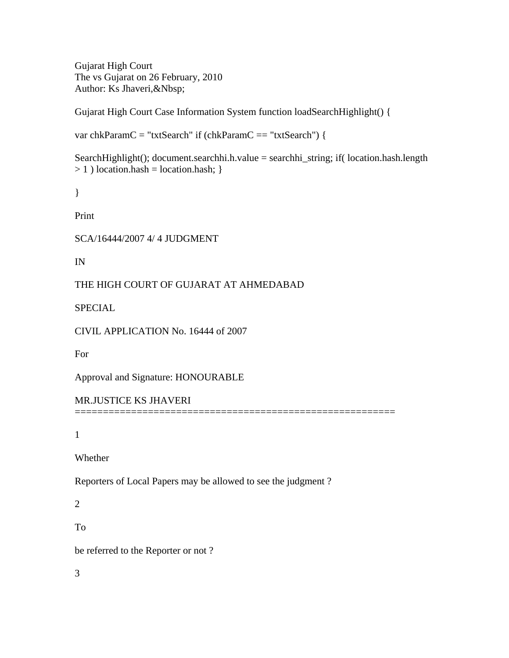Gujarat High Court The vs Gujarat on 26 February, 2010 Author: Ks Jhaveri,&Nbsp;

Gujarat High Court Case Information System function loadSearchHighlight() {

var chkParamC = "txtSearch" if (chkParamC == "txtSearch") {

SearchHighlight(); document.searchhi.h.value = searchhi\_string; if( location.hash.length  $> 1$ ) location.hash = location.hash; }

```
}
```
Print

SCA/16444/2007 4/ 4 JUDGMENT

IN

THE HIGH COURT OF GUJARAT AT AHMEDABAD

SPECIAL

CIVIL APPLICATION No. 16444 of 2007

For

Approval and Signature: HONOURABLE

MR.JUSTICE KS JHAVERI =========================================================

1

Whether

Reporters of Local Papers may be allowed to see the judgment ?

2

To

be referred to the Reporter or not ?

3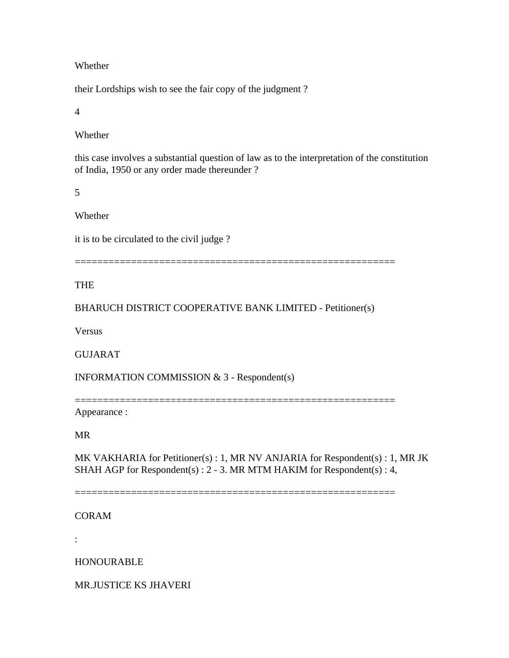#### Whether

their Lordships wish to see the fair copy of the judgment ?

4

### Whether

this case involves a substantial question of law as to the interpretation of the constitution of India, 1950 or any order made thereunder ?

5

### Whether

it is to be circulated to the civil judge ?

=========================================================

## **THE**

## BHARUCH DISTRICT COOPERATIVE BANK LIMITED - Petitioner(s)

**Versus** 

### GUJARAT

INFORMATION COMMISSION & 3 - Respondent(s)

=========================================================

Appearance :

### MR

MK VAKHARIA for Petitioner(s) : 1, MR NV ANJARIA for Respondent(s) : 1, MR JK SHAH AGP for Respondent(s) : 2 - 3. MR MTM HAKIM for Respondent(s) : 4,

=========================================================

### CORAM

:

HONOURABLE

MR.JUSTICE KS JHAVERI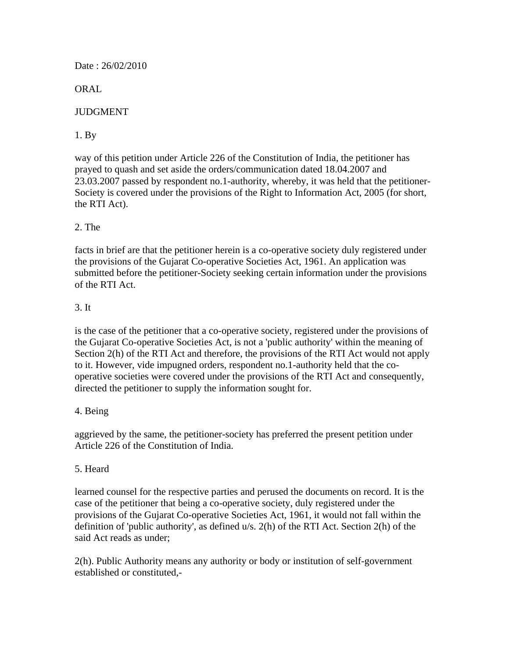Date : 26/02/2010

ORAL

# **JUDGMENT**

# 1. By

way of this petition under Article 226 of the Constitution of India, the petitioner has prayed to quash and set aside the orders/communication dated 18.04.2007 and 23.03.2007 passed by respondent no.1-authority, whereby, it was held that the petitioner-Society is covered under the provisions of the Right to Information Act, 2005 (for short, the RTI Act).

# 2. The

facts in brief are that the petitioner herein is a co-operative society duly registered under the provisions of the Gujarat Co-operative Societies Act, 1961. An application was submitted before the petitioner-Society seeking certain information under the provisions of the RTI Act.

## 3. It

is the case of the petitioner that a co-operative society, registered under the provisions of the Gujarat Co-operative Societies Act, is not a 'public authority' within the meaning of Section 2(h) of the RTI Act and therefore, the provisions of the RTI Act would not apply to it. However, vide impugned orders, respondent no.1-authority held that the cooperative societies were covered under the provisions of the RTI Act and consequently, directed the petitioner to supply the information sought for.

### 4. Being

aggrieved by the same, the petitioner-society has preferred the present petition under Article 226 of the Constitution of India.

### 5. Heard

learned counsel for the respective parties and perused the documents on record. It is the case of the petitioner that being a co-operative society, duly registered under the provisions of the Gujarat Co-operative Societies Act, 1961, it would not fall within the definition of 'public authority', as defined u/s. 2(h) of the RTI Act. Section 2(h) of the said Act reads as under;

2(h). Public Authority means any authority or body or institution of self-government established or constituted,-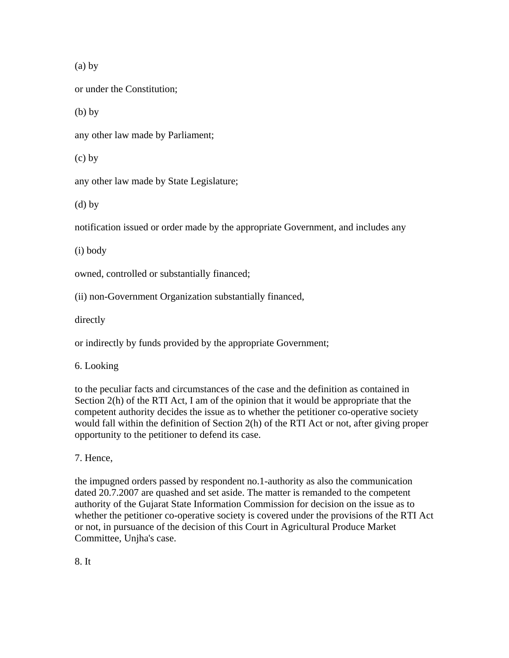(a) by

or under the Constitution;

 $(b)$  by

any other law made by Parliament;

(c) by

any other law made by State Legislature;

(d) by

notification issued or order made by the appropriate Government, and includes any

(i) body

owned, controlled or substantially financed;

(ii) non-Government Organization substantially financed,

directly

or indirectly by funds provided by the appropriate Government;

6. Looking

to the peculiar facts and circumstances of the case and the definition as contained in Section 2(h) of the RTI Act, I am of the opinion that it would be appropriate that the competent authority decides the issue as to whether the petitioner co-operative society would fall within the definition of Section 2(h) of the RTI Act or not, after giving proper opportunity to the petitioner to defend its case.

7. Hence,

the impugned orders passed by respondent no.1-authority as also the communication dated 20.7.2007 are quashed and set aside. The matter is remanded to the competent authority of the Gujarat State Information Commission for decision on the issue as to whether the petitioner co-operative society is covered under the provisions of the RTI Act or not, in pursuance of the decision of this Court in Agricultural Produce Market Committee, Unjha's case.

8. It